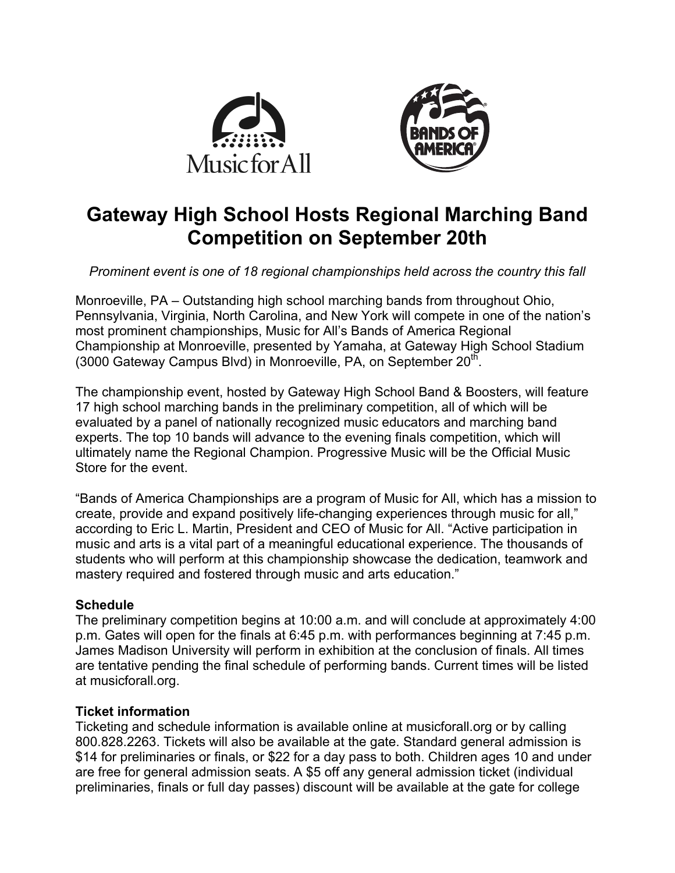



# **Gateway High School Hosts Regional Marching Band Competition on September 20th**

*Prominent event is one of 18 regional championships held across the country this fall*

Monroeville, PA – Outstanding high school marching bands from throughout Ohio, Pennsylvania, Virginia, North Carolina, and New York will compete in one of the nation's most prominent championships, Music for All's Bands of America Regional Championship at Monroeville, presented by Yamaha, at Gateway High School Stadium (3000 Gateway Campus Blvd) in Monroeville, PA, on September  $20<sup>th</sup>$ .

The championship event, hosted by Gateway High School Band & Boosters, will feature 17 high school marching bands in the preliminary competition, all of which will be evaluated by a panel of nationally recognized music educators and marching band experts. The top 10 bands will advance to the evening finals competition, which will ultimately name the Regional Champion. Progressive Music will be the Official Music Store for the event.

"Bands of America Championships are a program of Music for All, which has a mission to create, provide and expand positively life-changing experiences through music for all," according to Eric L. Martin, President and CEO of Music for All. "Active participation in music and arts is a vital part of a meaningful educational experience. The thousands of students who will perform at this championship showcase the dedication, teamwork and mastery required and fostered through music and arts education."

# **Schedule**

The preliminary competition begins at 10:00 a.m. and will conclude at approximately 4:00 p.m. Gates will open for the finals at 6:45 p.m. with performances beginning at 7:45 p.m. James Madison University will perform in exhibition at the conclusion of finals. All times are tentative pending the final schedule of performing bands. Current times will be listed at musicforall.org.

# **Ticket information**

Ticketing and schedule information is available online at musicforall.org or by calling 800.828.2263. Tickets will also be available at the gate. Standard general admission is \$14 for preliminaries or finals, or \$22 for a day pass to both. Children ages 10 and under are free for general admission seats. A \$5 off any general admission ticket (individual preliminaries, finals or full day passes) discount will be available at the gate for college